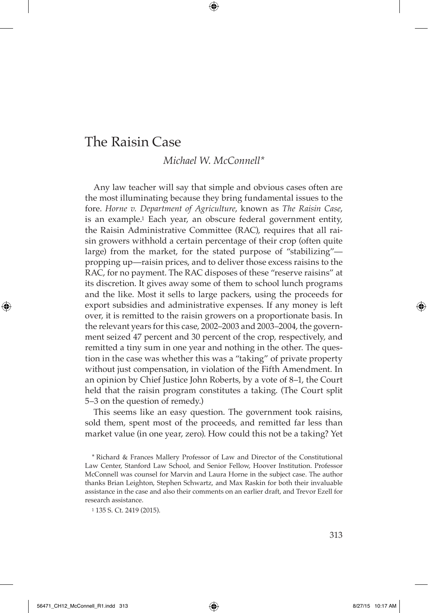# The Raisin Case

# *Michael W. McConnell\**

Any law teacher will say that simple and obvious cases often are the most illuminating because they bring fundamental issues to the fore. *Horne v. Department of Agriculture*, known as *The Raisin Case*, is an example.1 Each year, an obscure federal government entity, the Raisin Administrative Committee (RAC), requires that all raisin growers withhold a certain percentage of their crop (often quite large) from the market, for the stated purpose of "stabilizing" propping up—raisin prices, and to deliver those excess raisins to the RAC, for no payment. The RAC disposes of these "reserve raisins" at its discretion. It gives away some of them to school lunch programs and the like. Most it sells to large packers, using the proceeds for export subsidies and administrative expenses. If any money is left over, it is remitted to the raisin growers on a proportionate basis. In the relevant years for this case, 2002–2003 and 2003–2004, the government seized 47 percent and 30 percent of the crop, respectively, and remitted a tiny sum in one year and nothing in the other. The question in the case was whether this was a "taking" of private property without just compensation, in violation of the Fifth Amendment. In an opinion by Chief Justice John Roberts, by a vote of 8–1, the Court held that the raisin program constitutes a taking. (The Court split 5–3 on the question of remedy.)

This seems like an easy question. The government took raisins, sold them, spent most of the proceeds, and remitted far less than market value (in one year, zero). How could this not be a taking? Yet

\* Richard & Frances Mallery Professor of Law and Director of the Constitutional Law Center, Stanford Law School, and Senior Fellow, Hoover Institution. Professor McConnell was counsel for Marvin and Laura Horne in the subject case. The author thanks Brian Leighton, Stephen Schwartz, and Max Raskin for both their invaluable assistance in the case and also their comments on an earlier draft, and Trevor Ezell for research assistance.

<sup>1</sup> 135 S. Ct. 2419 (2015).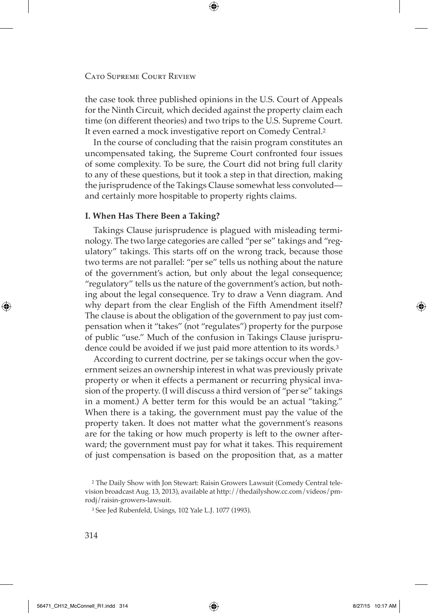the case took three published opinions in the U.S. Court of Appeals for the Ninth Circuit, which decided against the property claim each time (on different theories) and two trips to the U.S. Supreme Court. It even earned a mock investigative report on Comedy Central.2

In the course of concluding that the raisin program constitutes an uncompensated taking, the Supreme Court confronted four issues of some complexity. To be sure, the Court did not bring full clarity to any of these questions, but it took a step in that direction, making the jurisprudence of the Takings Clause somewhat less convoluted and certainly more hospitable to property rights claims.

## **I. When Has There Been a Taking?**

Takings Clause jurisprudence is plagued with misleading terminology. The two large categories are called "per se" takings and "regulatory" takings. This starts off on the wrong track, because those two terms are not parallel: "per se" tells us nothing about the nature of the government's action, but only about the legal consequence; "regulatory" tells us the nature of the government's action, but nothing about the legal consequence. Try to draw a Venn diagram. And why depart from the clear English of the Fifth Amendment itself? The clause is about the obligation of the government to pay just compensation when it "takes" (not "regulates") property for the purpose of public "use." Much of the confusion in Takings Clause jurisprudence could be avoided if we just paid more attention to its words.3

According to current doctrine, per se takings occur when the government seizes an ownership interest in what was previously private property or when it effects a permanent or recurring physical invasion of the property. (I will discuss a third version of "per se" takings in a moment.) A better term for this would be an actual "taking." When there is a taking, the government must pay the value of the property taken. It does not matter what the government's reasons are for the taking or how much property is left to the owner afterward; the government must pay for what it takes. This requirement of just compensation is based on the proposition that, as a matter

<sup>2</sup> The Daily Show with Jon Stewart: Raisin Growers Lawsuit (Comedy Central television broadcast Aug. 13, 2013), available at http://thedailyshow.cc.com/videos/pmrodj/raisin-growers-lawsuit.

<sup>3</sup> See Jed Rubenfeld, Usings, 102 Yale L.J. 1077 (1993).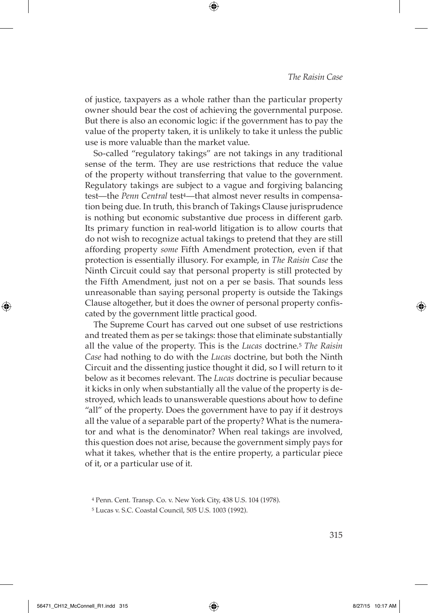of justice, taxpayers as a whole rather than the particular property owner should bear the cost of achieving the governmental purpose. But there is also an economic logic: if the government has to pay the value of the property taken, it is unlikely to take it unless the public use is more valuable than the market value.

So-called "regulatory takings" are not takings in any traditional sense of the term. They are use restrictions that reduce the value of the property without transferring that value to the government. Regulatory takings are subject to a vague and forgiving balancing test—the *Penn Central* test<sup>4</sup>—that almost never results in compensation being due. In truth, this branch of Takings Clause jurisprudence is nothing but economic substantive due process in different garb. Its primary function in real-world litigation is to allow courts that do not wish to recognize actual takings to pretend that they are still affording property *some* Fifth Amendment protection, even if that protection is essentially illusory. For example, in *The Raisin Case* the Ninth Circuit could say that personal property is still protected by the Fifth Amendment, just not on a per se basis. That sounds less unreasonable than saying personal property is outside the Takings Clause altogether, but it does the owner of personal property confiscated by the government little practical good.

The Supreme Court has carved out one subset of use restrictions and treated them as per se takings: those that eliminate substantially all the value of the property. This is the *Lucas* doctrine.5 *The Raisin Case* had nothing to do with the *Lucas* doctrine, but both the Ninth Circuit and the dissenting justice thought it did, so I will return to it below as it becomes relevant. The *Lucas* doctrine is peculiar because it kicks in only when substantially all the value of the property is destroyed, which leads to unanswerable questions about how to define "all" of the property. Does the government have to pay if it destroys all the value of a separable part of the property? What is the numerator and what is the denominator? When real takings are involved, this question does not arise, because the government simply pays for what it takes, whether that is the entire property, a particular piece of it, or a particular use of it.

<sup>4</sup> Penn. Cent. Transp. Co. v. New York City, 438 U.S. 104 (1978).

<sup>5</sup> Lucas v. S.C. Coastal Council, 505 U.S. 1003 (1992).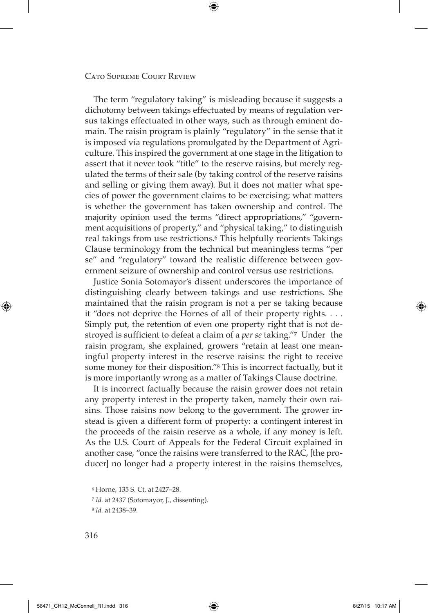The term "regulatory taking" is misleading because it suggests a dichotomy between takings effectuated by means of regulation versus takings effectuated in other ways, such as through eminent domain. The raisin program is plainly "regulatory" in the sense that it is imposed via regulations promulgated by the Department of Agriculture. This inspired the government at one stage in the litigation to assert that it never took "title" to the reserve raisins, but merely regulated the terms of their sale (by taking control of the reserve raisins and selling or giving them away). But it does not matter what species of power the government claims to be exercising; what matters is whether the government has taken ownership and control. The majority opinion used the terms "direct appropriations," "government acquisitions of property," and "physical taking," to distinguish real takings from use restrictions.6 This helpfully reorients Takings Clause terminology from the technical but meaningless terms "per se" and "regulatory" toward the realistic difference between government seizure of ownership and control versus use restrictions.

Justice Sonia Sotomayor's dissent underscores the importance of distinguishing clearly between takings and use restrictions. She maintained that the raisin program is not a per se taking because it "does not deprive the Hornes of all of their property rights. . . . Simply put, the retention of even one property right that is not destroyed is sufficient to defeat a claim of a *per se* taking."7 Under the raisin program, she explained, growers "retain at least one meaningful property interest in the reserve raisins: the right to receive some money for their disposition."8 This is incorrect factually, but it is more importantly wrong as a matter of Takings Clause doctrine.

It is incorrect factually because the raisin grower does not retain any property interest in the property taken, namely their own raisins. Those raisins now belong to the government. The grower instead is given a different form of property: a contingent interest in the proceeds of the raisin reserve as a whole, if any money is left. As the U.S. Court of Appeals for the Federal Circuit explained in another case, "once the raisins were transferred to the RAC, [the producer] no longer had a property interest in the raisins themselves,

<sup>6</sup> Horne, 135 S. Ct. at 2427–28.

<sup>7</sup> *Id.* at 2437 (Sotomayor, J., dissenting).

<sup>8</sup> *Id.* at 2438–39.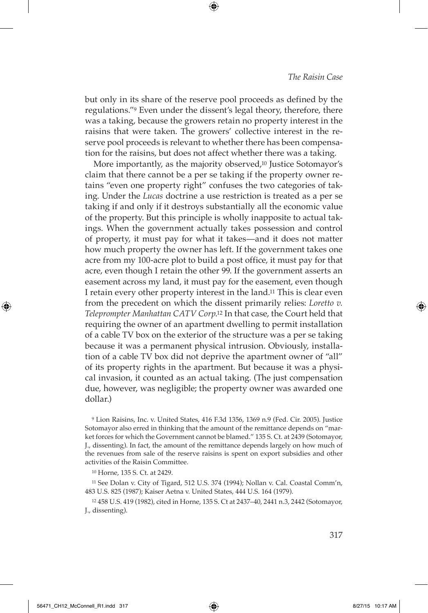but only in its share of the reserve pool proceeds as defined by the regulations."9 Even under the dissent's legal theory, therefore, there was a taking, because the growers retain no property interest in the raisins that were taken. The growers' collective interest in the reserve pool proceeds is relevant to whether there has been compensation for the raisins, but does not affect whether there was a taking.

More importantly, as the majority observed,<sup>10</sup> Justice Sotomayor's claim that there cannot be a per se taking if the property owner retains "even one property right" confuses the two categories of taking. Under the *Lucas* doctrine a use restriction is treated as a per se taking if and only if it destroys substantially all the economic value of the property. But this principle is wholly inapposite to actual takings. When the government actually takes possession and control of property, it must pay for what it takes—and it does not matter how much property the owner has left. If the government takes one acre from my 100-acre plot to build a post office, it must pay for that acre, even though I retain the other 99. If the government asserts an easement across my land, it must pay for the easement, even though I retain every other property interest in the land.11 This is clear even from the precedent on which the dissent primarily relies: *Loretto v. Teleprompter Manhattan CATV Corp*.12 In that case, the Court held that requiring the owner of an apartment dwelling to permit installation of a cable TV box on the exterior of the structure was a per se taking because it was a permanent physical intrusion. Obviously, installation of a cable TV box did not deprive the apartment owner of "all" of its property rights in the apartment. But because it was a physical invasion, it counted as an actual taking. (The just compensation due, however, was negligible; the property owner was awarded one dollar.)

<sup>9</sup> Lion Raisins, Inc. v. United States, 416 F.3d 1356, 1369 n.9 (Fed. Cir. 2005). Justice Sotomayor also erred in thinking that the amount of the remittance depends on "market forces for which the Government cannot be blamed." 135 S. Ct. at 2439 (Sotomayor, J., dissenting). In fact, the amount of the remittance depends largely on how much of the revenues from sale of the reserve raisins is spent on export subsidies and other activities of the Raisin Committee.

#### <sup>10</sup> Horne, 135 S. Ct. at 2429.

<sup>11</sup> See Dolan v. City of Tigard, 512 U.S. 374 (1994); Nollan v. Cal. Coastal Comm'n, 483 U.S. 825 (1987); Kaiser Aetna v. United States, 444 U.S. 164 (1979).

<sup>12</sup> 458 U.S. 419 (1982), cited in Horne, 135 S. Ct at 2437–40, 2441 n.3, 2442 (Sotomayor, J., dissenting).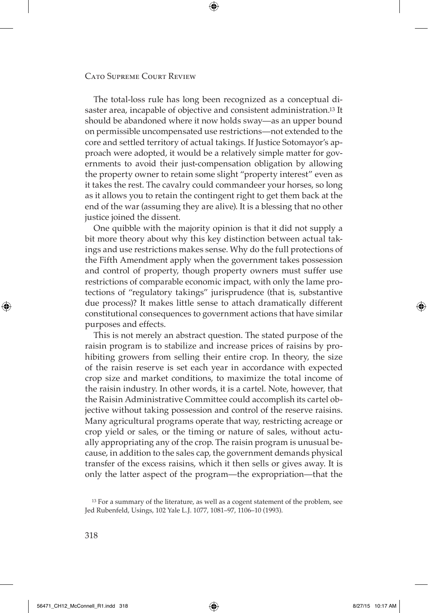The total-loss rule has long been recognized as a conceptual disaster area, incapable of objective and consistent administration.13 It should be abandoned where it now holds sway—as an upper bound on permissible uncompensated use restrictions—not extended to the core and settled territory of actual takings. If Justice Sotomayor's approach were adopted, it would be a relatively simple matter for governments to avoid their just-compensation obligation by allowing the property owner to retain some slight "property interest" even as it takes the rest. The cavalry could commandeer your horses, so long as it allows you to retain the contingent right to get them back at the end of the war (assuming they are alive). It is a blessing that no other justice joined the dissent.

One quibble with the majority opinion is that it did not supply a bit more theory about why this key distinction between actual takings and use restrictions makes sense. Why do the full protections of the Fifth Amendment apply when the government takes possession and control of property, though property owners must suffer use restrictions of comparable economic impact, with only the lame protections of "regulatory takings" jurisprudence (that is, substantive due process)? It makes little sense to attach dramatically different constitutional consequences to government actions that have similar purposes and effects.

This is not merely an abstract question. The stated purpose of the raisin program is to stabilize and increase prices of raisins by prohibiting growers from selling their entire crop. In theory, the size of the raisin reserve is set each year in accordance with expected crop size and market conditions, to maximize the total income of the raisin industry. In other words, it is a cartel. Note, however, that the Raisin Administrative Committee could accomplish its cartel objective without taking possession and control of the reserve raisins. Many agricultural programs operate that way, restricting acreage or crop yield or sales, or the timing or nature of sales, without actually appropriating any of the crop. The raisin program is unusual because, in addition to the sales cap, the government demands physical transfer of the excess raisins, which it then sells or gives away. It is only the latter aspect of the program—the expropriation—that the

<sup>13</sup> For a summary of the literature, as well as a cogent statement of the problem, see Jed Rubenfeld, Usings, 102 Yale L.J. 1077, 1081–97, 1106–10 (1993).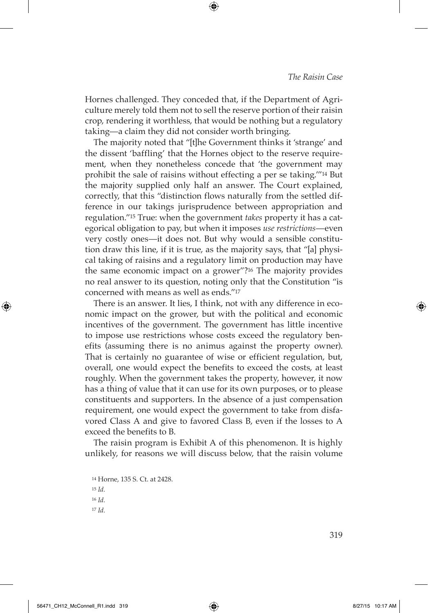Hornes challenged. They conceded that, if the Department of Agriculture merely told them not to sell the reserve portion of their raisin crop, rendering it worthless, that would be nothing but a regulatory taking—a claim they did not consider worth bringing.

The majority noted that "[t]he Government thinks it 'strange' and the dissent 'baffling' that the Hornes object to the reserve requirement, when they nonetheless concede that 'the government may prohibit the sale of raisins without effecting a per se taking.'"14 But the majority supplied only half an answer. The Court explained, correctly, that this "distinction flows naturally from the settled difference in our takings jurisprudence between appropriation and regulation."15 True: when the government *takes* property it has a categorical obligation to pay, but when it imposes *use restrictions*—even very costly ones—it does not. But why would a sensible constitution draw this line, if it is true, as the majority says, that "[a] physical taking of raisins and a regulatory limit on production may have the same economic impact on a grower"?16 The majority provides no real answer to its question, noting only that the Constitution "is concerned with means as well as ends."17

There is an answer. It lies, I think, not with any difference in economic impact on the grower, but with the political and economic incentives of the government. The government has little incentive to impose use restrictions whose costs exceed the regulatory benefits (assuming there is no animus against the property owner). That is certainly no guarantee of wise or efficient regulation, but, overall, one would expect the benefits to exceed the costs, at least roughly. When the government takes the property, however, it now has a thing of value that it can use for its own purposes, or to please constituents and supporters. In the absence of a just compensation requirement, one would expect the government to take from disfavored Class A and give to favored Class B, even if the losses to A exceed the benefits to B.

The raisin program is Exhibit A of this phenomenon. It is highly unlikely, for reasons we will discuss below, that the raisin volume

<sup>14</sup> Horne, 135 S. Ct. at 2428. <sup>15</sup> *Id.* <sup>16</sup> *Id.*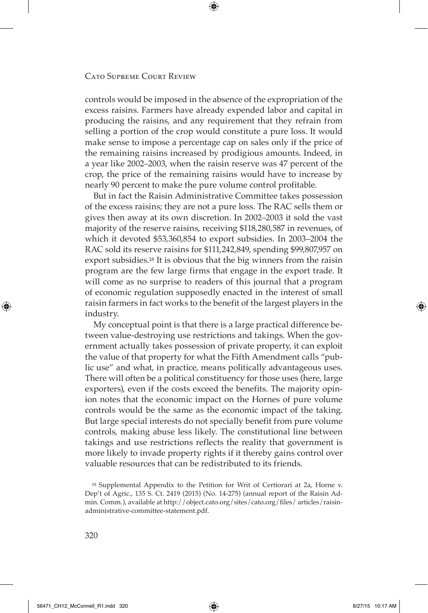controls would be imposed in the absence of the expropriation of the excess raisins. Farmers have already expended labor and capital in producing the raisins, and any requirement that they refrain from selling a portion of the crop would constitute a pure loss. It would make sense to impose a percentage cap on sales only if the price of the remaining raisins increased by prodigious amounts. Indeed, in a year like 2002–2003, when the raisin reserve was 47 percent of the crop, the price of the remaining raisins would have to increase by nearly 90 percent to make the pure volume control profitable.

But in fact the Raisin Administrative Committee takes possession of the excess raisins; they are not a pure loss. The RAC sells them or gives then away at its own discretion. In 2002–2003 it sold the vast majority of the reserve raisins, receiving \$118,280,587 in revenues, of which it devoted \$53,360,854 to export subsidies. In 2003–2004 the RAC sold its reserve raisins for \$111,242,849, spending \$99,807,957 on export subsidies.18 It is obvious that the big winners from the raisin program are the few large firms that engage in the export trade. It will come as no surprise to readers of this journal that a program of economic regulation supposedly enacted in the interest of small raisin farmers in fact works to the benefit of the largest players in the industry.

My conceptual point is that there is a large practical difference between value-destroying use restrictions and takings. When the government actually takes possession of private property, it can exploit the value of that property for what the Fifth Amendment calls "public use" and what, in practice, means politically advantageous uses. There will often be a political constituency for those uses (here, large exporters), even if the costs exceed the benefits. The majority opinion notes that the economic impact on the Hornes of pure volume controls would be the same as the economic impact of the taking. But large special interests do not specially benefit from pure volume controls, making abuse less likely. The constitutional line between takings and use restrictions reflects the reality that government is more likely to invade property rights if it thereby gains control over valuable resources that can be redistributed to its friends.

<sup>18</sup> Supplemental Appendix to the Petition for Writ of Certiorari at 2a, Horne v. Dep't of Agric., 135 S. Ct. 2419 (2015) (No. 14-275) (annual report of the Raisin Admin. Comm.), available at http://object.cato.org/sites/cato.org/files/ articles/raisinadministrative-committee-statement.pdf.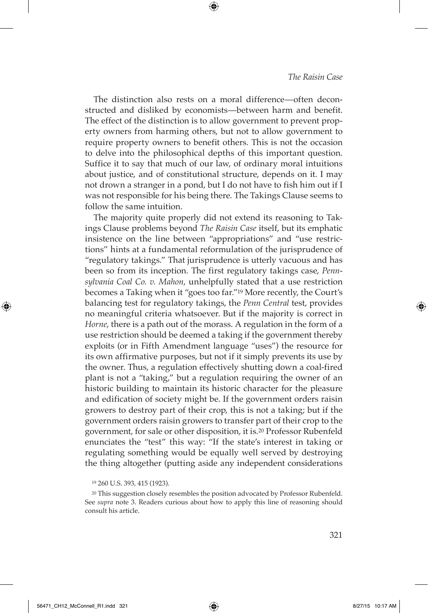The distinction also rests on a moral difference—often deconstructed and disliked by economists—between harm and benefit. The effect of the distinction is to allow government to prevent property owners from harming others, but not to allow government to require property owners to benefit others. This is not the occasion to delve into the philosophical depths of this important question. Suffice it to say that much of our law, of ordinary moral intuitions about justice, and of constitutional structure, depends on it. I may not drown a stranger in a pond, but I do not have to fish him out if I was not responsible for his being there. The Takings Clause seems to follow the same intuition.

The majority quite properly did not extend its reasoning to Takings Clause problems beyond *The Raisin Case* itself, but its emphatic insistence on the line between "appropriations" and "use restrictions" hints at a fundamental reformulation of the jurisprudence of "regulatory takings." That jurisprudence is utterly vacuous and has been so from its inception. The first regulatory takings case, *Pennsylvania Coal Co. v. Mahon*, unhelpfully stated that a use restriction becomes a Taking when it "goes too far."19 More recently, the Court's balancing test for regulatory takings, the *Penn Central* test, provides no meaningful criteria whatsoever. But if the majority is correct in *Horne*, there is a path out of the morass. A regulation in the form of a use restriction should be deemed a taking if the government thereby exploits (or in Fifth Amendment language "uses") the resource for its own affirmative purposes, but not if it simply prevents its use by the owner. Thus, a regulation effectively shutting down a coal-fired plant is not a "taking," but a regulation requiring the owner of an historic building to maintain its historic character for the pleasure and edification of society might be. If the government orders raisin growers to destroy part of their crop, this is not a taking; but if the government orders raisin growers to transfer part of their crop to the government, for sale or other disposition, it is.20 Professor Rubenfeld enunciates the "test" this way: "If the state's interest in taking or regulating something would be equally well served by destroying the thing altogether (putting aside any independent considerations

<sup>19</sup> 260 U.S. 393, 415 (1923).

<sup>20</sup> This suggestion closely resembles the position advocated by Professor Rubenfeld. See *supra* note 3. Readers curious about how to apply this line of reasoning should consult his article.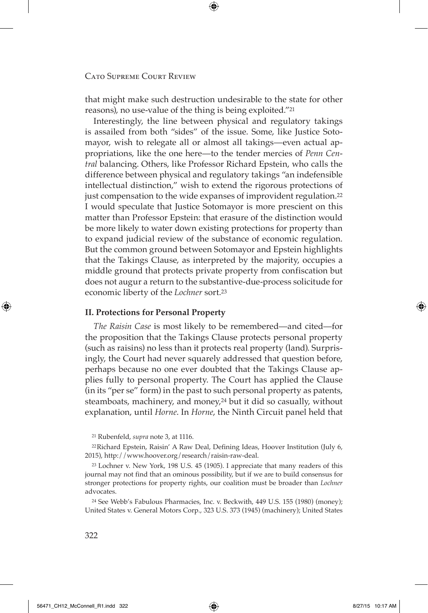that might make such destruction undesirable to the state for other reasons), no use-value of the thing is being exploited."21

Interestingly, the line between physical and regulatory takings is assailed from both "sides" of the issue. Some, like Justice Sotomayor, wish to relegate all or almost all takings—even actual appropriations, like the one here—to the tender mercies of *Penn Central* balancing. Others, like Professor Richard Epstein, who calls the difference between physical and regulatory takings "an indefensible intellectual distinction," wish to extend the rigorous protections of just compensation to the wide expanses of improvident regulation.<sup>22</sup> I would speculate that Justice Sotomayor is more prescient on this matter than Professor Epstein: that erasure of the distinction would be more likely to water down existing protections for property than to expand judicial review of the substance of economic regulation. But the common ground between Sotomayor and Epstein highlights that the Takings Clause, as interpreted by the majority, occupies a middle ground that protects private property from confiscation but does not augur a return to the substantive-due-process solicitude for economic liberty of the *Lochner* sort.23

# **II. Protections for Personal Property**

*The Raisin Case* is most likely to be remembered—and cited—for the proposition that the Takings Clause protects personal property (such as raisins) no less than it protects real property (land). Surprisingly, the Court had never squarely addressed that question before, perhaps because no one ever doubted that the Takings Clause applies fully to personal property. The Court has applied the Clause (in its "per se" form) in the past to such personal property as patents, steamboats, machinery, and money,24 but it did so casually, without explanation, until *Horne*. In *Horne*, the Ninth Circuit panel held that

<sup>24</sup> See Webb's Fabulous Pharmacies, Inc. v. Beckwith, 449 U.S. 155 (1980) (money); United States v. General Motors Corp., 323 U.S. 373 (1945) (machinery); United States

<sup>21</sup> Rubenfeld, *supra* note 3, at 1116.

<sup>22</sup>Richard Epstein, Raisin' A Raw Deal, Defining Ideas, Hoover Institution (July 6, 2015), http://www.hoover.org/research/raisin-raw-deal.

<sup>23</sup> Lochner v. New York, 198 U.S. 45 (1905). I appreciate that many readers of this journal may not find that an ominous possibility, but if we are to build consensus for stronger protections for property rights, our coalition must be broader than *Lochner*  advocates.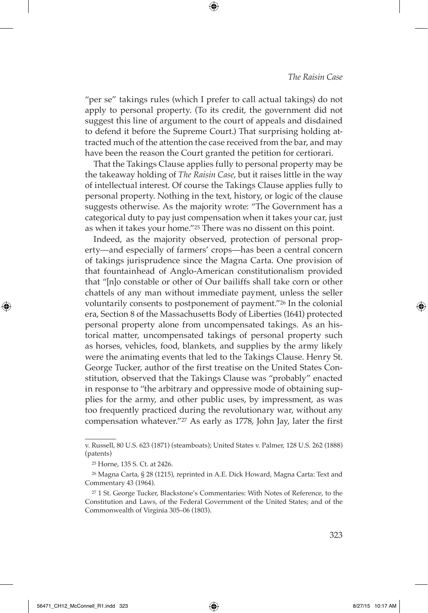"per se" takings rules (which I prefer to call actual takings) do not apply to personal property. (To its credit, the government did not suggest this line of argument to the court of appeals and disdained to defend it before the Supreme Court.) That surprising holding attracted much of the attention the case received from the bar, and may have been the reason the Court granted the petition for certiorari.

That the Takings Clause applies fully to personal property may be the takeaway holding of *The Raisin Case*, but it raises little in the way of intellectual interest. Of course the Takings Clause applies fully to personal property. Nothing in the text, history, or logic of the clause suggests otherwise. As the majority wrote: "The Government has a categorical duty to pay just compensation when it takes your car, just as when it takes your home."25 There was no dissent on this point.

Indeed, as the majority observed, protection of personal property—and especially of farmers' crops—has been a central concern of takings jurisprudence since the Magna Carta. One provision of that fountainhead of Anglo-American constitutionalism provided that "[n]o constable or other of Our bailiffs shall take corn or other chattels of any man without immediate payment, unless the seller voluntarily consents to postponement of payment."26 In the colonial era, Section 8 of the Massachusetts Body of Liberties (1641) protected personal property alone from uncompensated takings. As an historical matter, uncompensated takings of personal property such as horses, vehicles, food, blankets, and supplies by the army likely were the animating events that led to the Takings Clause. Henry St. George Tucker, author of the first treatise on the United States Constitution, observed that the Takings Clause was "probably" enacted in response to "the arbitrary and oppressive mode of obtaining supplies for the army, and other public uses, by impressment, as was too frequently practiced during the revolutionary war, without any compensation whatever."27 As early as 1778, John Jay, later the first

v. Russell, 80 U.S. 623 (1871) (steamboats); United States v. Palmer, 128 U.S. 262 (1888) (patents)

<sup>25</sup> Horne, 135 S. Ct. at 2426.

<sup>26</sup> Magna Carta, § 28 (1215), reprinted in A.E. Dick Howard, Magna Carta: Text and Commentary 43 (1964).

<sup>27</sup> 1 St. George Tucker, Blackstone's Commentaries: With Notes of Reference, to the Constitution and Laws, of the Federal Government of the United States; and of the Commonwealth of Virginia 305–06 (1803).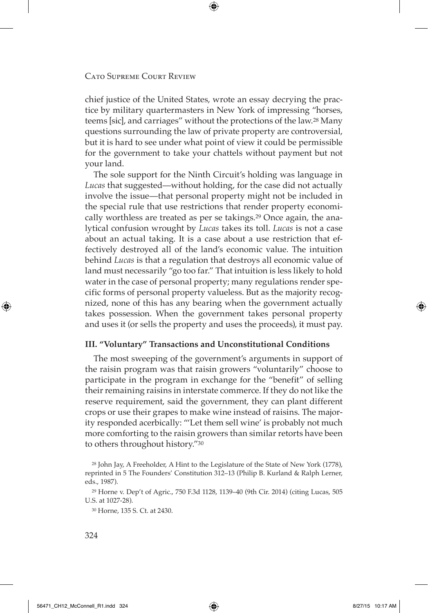chief justice of the United States, wrote an essay decrying the practice by military quartermasters in New York of impressing "horses, teems [sic], and carriages" without the protections of the law.28 Many questions surrounding the law of private property are controversial, but it is hard to see under what point of view it could be permissible for the government to take your chattels without payment but not your land.

The sole support for the Ninth Circuit's holding was language in *Lucas* that suggested—without holding, for the case did not actually involve the issue—that personal property might not be included in the special rule that use restrictions that render property economically worthless are treated as per se takings.29 Once again, the analytical confusion wrought by *Lucas* takes its toll. *Lucas* is not a case about an actual taking. It is a case about a use restriction that effectively destroyed all of the land's economic value. The intuition behind *Lucas* is that a regulation that destroys all economic value of land must necessarily "go too far." That intuition is less likely to hold water in the case of personal property; many regulations render specific forms of personal property valueless. But as the majority recognized, none of this has any bearing when the government actually takes possession. When the government takes personal property and uses it (or sells the property and uses the proceeds), it must pay.

# **III. "Voluntary" Transactions and Unconstitutional Conditions**

The most sweeping of the government's arguments in support of the raisin program was that raisin growers "voluntarily" choose to participate in the program in exchange for the "benefit" of selling their remaining raisins in interstate commerce. If they do not like the reserve requirement, said the government, they can plant different crops or use their grapes to make wine instead of raisins. The majority responded acerbically: "'Let them sell wine' is probably not much more comforting to the raisin growers than similar retorts have been to others throughout history."30

<sup>29</sup> Horne v. Dep't of Agric., 750 F.3d 1128, 1139–40 (9th Cir. 2014) (citing Lucas, 505 U.S. at 1027-28).

<sup>30</sup> Horne, 135 S. Ct. at 2430.

<sup>28</sup> John Jay, A Freeholder, A Hint to the Legislature of the State of New York (1778), reprinted in 5 The Founders' Constitution 312–13 (Philip B. Kurland & Ralph Lerner, eds., 1987).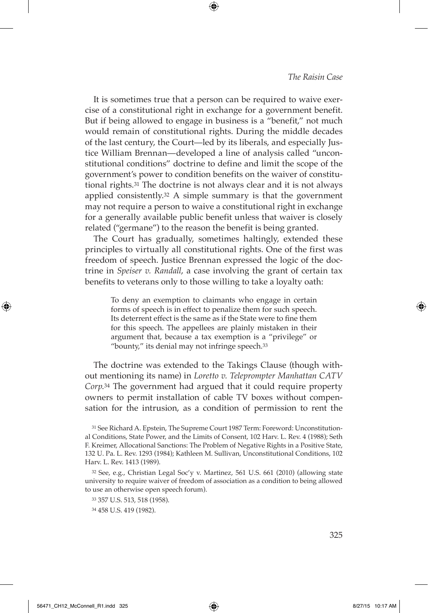It is sometimes true that a person can be required to waive exercise of a constitutional right in exchange for a government benefit. But if being allowed to engage in business is a "benefit," not much would remain of constitutional rights. During the middle decades of the last century, the Court—led by its liberals, and especially Justice William Brennan—developed a line of analysis called "unconstitutional conditions" doctrine to define and limit the scope of the government's power to condition benefits on the waiver of constitutional rights.31 The doctrine is not always clear and it is not always applied consistently.32 A simple summary is that the government may not require a person to waive a constitutional right in exchange for a generally available public benefit unless that waiver is closely related ("germane") to the reason the benefit is being granted.

The Court has gradually, sometimes haltingly, extended these principles to virtually all constitutional rights. One of the first was freedom of speech. Justice Brennan expressed the logic of the doctrine in *Speiser v. Randall*, a case involving the grant of certain tax benefits to veterans only to those willing to take a loyalty oath:

> To deny an exemption to claimants who engage in certain forms of speech is in effect to penalize them for such speech. Its deterrent effect is the same as if the State were to fine them for this speech. The appellees are plainly mistaken in their argument that, because a tax exemption is a "privilege" or "bounty," its denial may not infringe speech.33

The doctrine was extended to the Takings Clause (though without mentioning its name) in *Loretto v. Teleprompter Manhattan CATV Corp*.34 The government had argued that it could require property owners to permit installation of cable TV boxes without compensation for the intrusion, as a condition of permission to rent the

<sup>31</sup> See Richard A. Epstein, The Supreme Court 1987 Term: Foreword: Unconstitutional Conditions, State Power, and the Limits of Consent, 102 Harv. L. Rev. 4 (1988); Seth F. Kreimer, Allocational Sanctions: The Problem of Negative Rights in a Positive State, 132 U. Pa. L. Rev. 1293 (1984); Kathleen M. Sullivan, Unconstitutional Conditions, 102 Harv. L. Rev. 1413 (1989).

<sup>32</sup> See, e.g., Christian Legal Soc'y v. Martinez, 561 U.S. 661 (2010) (allowing state university to require waiver of freedom of association as a condition to being allowed to use an otherwise open speech forum).

<sup>33</sup> 357 U.S. 513, 518 (1958).

<sup>34</sup> 458 U.S. 419 (1982).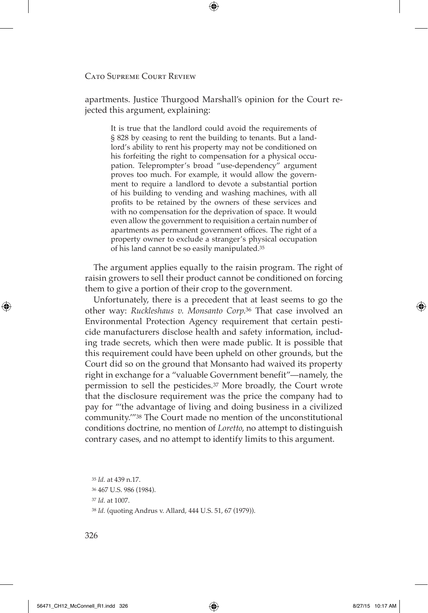apartments. Justice Thurgood Marshall's opinion for the Court rejected this argument, explaining:

It is true that the landlord could avoid the requirements of § 828 by ceasing to rent the building to tenants. But a landlord's ability to rent his property may not be conditioned on his forfeiting the right to compensation for a physical occupation. Teleprompter's broad "use-dependency" argument proves too much. For example, it would allow the government to require a landlord to devote a substantial portion of his building to vending and washing machines, with all profits to be retained by the owners of these services and with no compensation for the deprivation of space. It would even allow the government to requisition a certain number of apartments as permanent government offices. The right of a property owner to exclude a stranger's physical occupation of his land cannot be so easily manipulated.35

The argument applies equally to the raisin program. The right of raisin growers to sell their product cannot be conditioned on forcing them to give a portion of their crop to the government.

Unfortunately, there is a precedent that at least seems to go the other way: *Ruckleshaus v. Monsanto Corp*.36 That case involved an Environmental Protection Agency requirement that certain pesticide manufacturers disclose health and safety information, including trade secrets, which then were made public. It is possible that this requirement could have been upheld on other grounds, but the Court did so on the ground that Monsanto had waived its property right in exchange for a "valuable Government benefit"—namely, the permission to sell the pesticides.37 More broadly, the Court wrote that the disclosure requirement was the price the company had to pay for "'the advantage of living and doing business in a civilized community.'"38 The Court made no mention of the unconstitutional conditions doctrine, no mention of *Loretto*, no attempt to distinguish contrary cases, and no attempt to identify limits to this argument.

<sup>35</sup> *Id.* at 439 n.17.

<sup>36</sup> 467 U.S. 986 (1984).

<sup>37</sup> *Id.* at 1007.

<sup>38</sup> *Id.* (quoting Andrus v. Allard, 444 U.S. 51, 67 (1979)).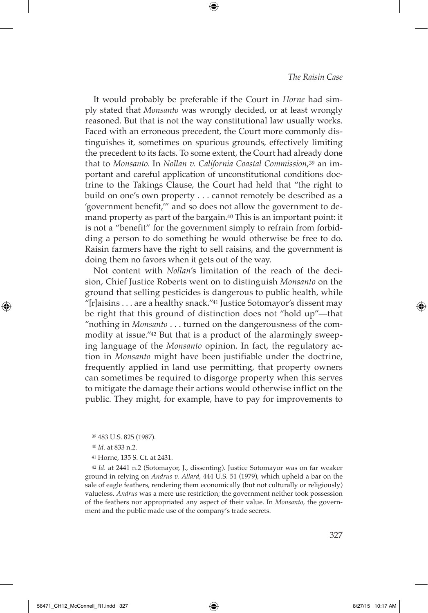It would probably be preferable if the Court in *Horne* had simply stated that *Monsanto* was wrongly decided, or at least wrongly reasoned. But that is not the way constitutional law usually works. Faced with an erroneous precedent, the Court more commonly distinguishes it, sometimes on spurious grounds, effectively limiting the precedent to its facts. To some extent, the Court had already done that to *Monsanto*. In *Nollan v. California Coastal Commission*,39 an important and careful application of unconstitutional conditions doctrine to the Takings Clause, the Court had held that "the right to build on one's own property . . . cannot remotely be described as a 'government benefit,'" and so does not allow the government to demand property as part of the bargain.40 This is an important point: it is not a "benefit" for the government simply to refrain from forbidding a person to do something he would otherwise be free to do. Raisin farmers have the right to sell raisins, and the government is doing them no favors when it gets out of the way.

Not content with *Nollan*'s limitation of the reach of the decision, Chief Justice Roberts went on to distinguish *Monsanto* on the ground that selling pesticides is dangerous to public health, while "[r]aisins . . . are a healthy snack."41 Justice Sotomayor's dissent may be right that this ground of distinction does not "hold up"—that "nothing in *Monsanto* . . . turned on the dangerousness of the commodity at issue."42 But that is a product of the alarmingly sweeping language of the *Monsanto* opinion. In fact, the regulatory action in *Monsanto* might have been justifiable under the doctrine, frequently applied in land use permitting, that property owners can sometimes be required to disgorge property when this serves to mitigate the damage their actions would otherwise inflict on the public. They might, for example, have to pay for improvements to

- <sup>39</sup> 483 U.S. 825 (1987).
- <sup>40</sup> *Id.* at 833 n.2.
- <sup>41</sup> Horne, 135 S. Ct. at 2431.

<sup>42</sup> *Id.* at 2441 n.2 (Sotomayor, J., dissenting). Justice Sotomayor was on far weaker ground in relying on *Andrus v. Allard*, 444 U.S. 51 (1979), which upheld a bar on the sale of eagle feathers, rendering them economically (but not culturally or religiously) valueless. *Andrus* was a mere use restriction; the government neither took possession of the feathers nor appropriated any aspect of their value. In *Monsanto*, the government and the public made use of the company's trade secrets.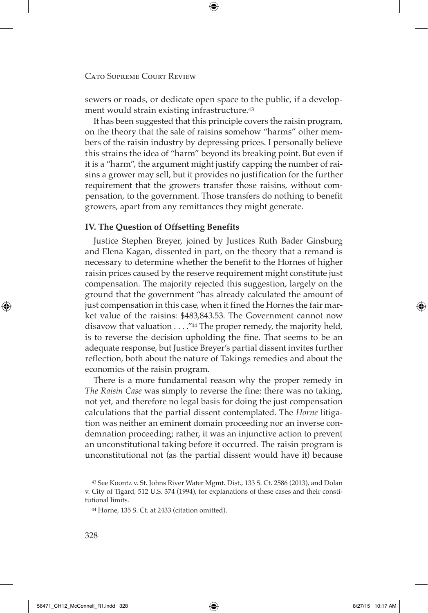sewers or roads, or dedicate open space to the public, if a development would strain existing infrastructure.43

It has been suggested that this principle covers the raisin program, on the theory that the sale of raisins somehow "harms" other members of the raisin industry by depressing prices. I personally believe this strains the idea of "harm" beyond its breaking point. But even if it is a "harm", the argument might justify capping the number of raisins a grower may sell, but it provides no justification for the further requirement that the growers transfer those raisins, without compensation, to the government. Those transfers do nothing to benefit growers, apart from any remittances they might generate.

# **IV. The Question of Offsetting Benefits**

Justice Stephen Breyer, joined by Justices Ruth Bader Ginsburg and Elena Kagan, dissented in part, on the theory that a remand is necessary to determine whether the benefit to the Hornes of higher raisin prices caused by the reserve requirement might constitute just compensation. The majority rejected this suggestion, largely on the ground that the government "has already calculated the amount of just compensation in this case, when it fined the Hornes the fair market value of the raisins: \$483,843.53. The Government cannot now disavow that valuation . . . ."44 The proper remedy, the majority held, is to reverse the decision upholding the fine. That seems to be an adequate response, but Justice Breyer's partial dissent invites further reflection, both about the nature of Takings remedies and about the economics of the raisin program.

There is a more fundamental reason why the proper remedy in *The Raisin Case* was simply to reverse the fine: there was no taking, not yet, and therefore no legal basis for doing the just compensation calculations that the partial dissent contemplated. The *Horne* litigation was neither an eminent domain proceeding nor an inverse condemnation proceeding; rather, it was an injunctive action to prevent an unconstitutional taking before it occurred. The raisin program is unconstitutional not (as the partial dissent would have it) because

<sup>43</sup> See Koontz v. St. Johns River Water Mgmt. Dist., 133 S. Ct. 2586 (2013), and Dolan v. City of Tigard, 512 U.S. 374 (1994), for explanations of these cases and their constitutional limits.

<sup>44</sup> Horne, 135 S. Ct. at 2433 (citation omitted).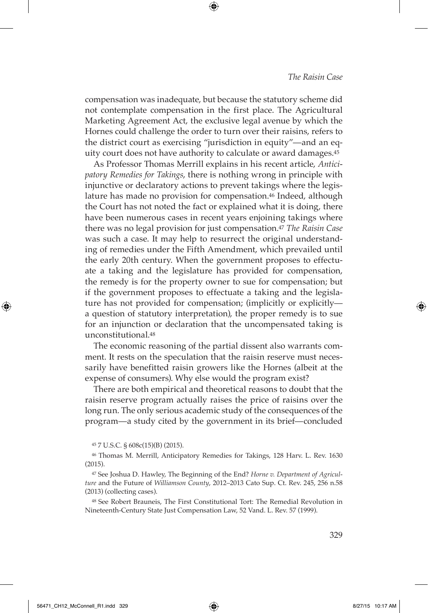compensation was inadequate, but because the statutory scheme did not contemplate compensation in the first place. The Agricultural Marketing Agreement Act, the exclusive legal avenue by which the Hornes could challenge the order to turn over their raisins, refers to the district court as exercising "jurisdiction in equity"—and an equity court does not have authority to calculate or award damages.45

As Professor Thomas Merrill explains in his recent article, *Anticipatory Remedies for Takings*, there is nothing wrong in principle with injunctive or declaratory actions to prevent takings where the legislature has made no provision for compensation.46 Indeed, although the Court has not noted the fact or explained what it is doing, there have been numerous cases in recent years enjoining takings where there was no legal provision for just compensation.47 *The Raisin Case* was such a case. It may help to resurrect the original understanding of remedies under the Fifth Amendment, which prevailed until the early 20th century. When the government proposes to effectuate a taking and the legislature has provided for compensation, the remedy is for the property owner to sue for compensation; but if the government proposes to effectuate a taking and the legislature has not provided for compensation; (implicitly or explicitly a question of statutory interpretation), the proper remedy is to sue for an injunction or declaration that the uncompensated taking is unconstitutional.48

The economic reasoning of the partial dissent also warrants comment. It rests on the speculation that the raisin reserve must necessarily have benefitted raisin growers like the Hornes (albeit at the expense of consumers). Why else would the program exist?

There are both empirical and theoretical reasons to doubt that the raisin reserve program actually raises the price of raisins over the long run. The only serious academic study of the consequences of the program—a study cited by the government in its brief—concluded

<sup>45</sup> 7 U.S.C. § 608c(15)(B) (2015).

<sup>46</sup> Thomas M. Merrill, Anticipatory Remedies for Takings, 128 Harv. L. Rev. 1630 (2015).

<sup>47</sup> See Joshua D. Hawley, The Beginning of the End? *Horne v. Department of Agriculture* and the Future of *Williamson County*, 2012–2013 Cato Sup. Ct. Rev. 245, 256 n.58 (2013) (collecting cases).

<sup>48</sup> See Robert Brauneis, The First Constitutional Tort: The Remedial Revolution in Nineteenth-Century State Just Compensation Law, 52 Vand. L. Rev. 57 (1999).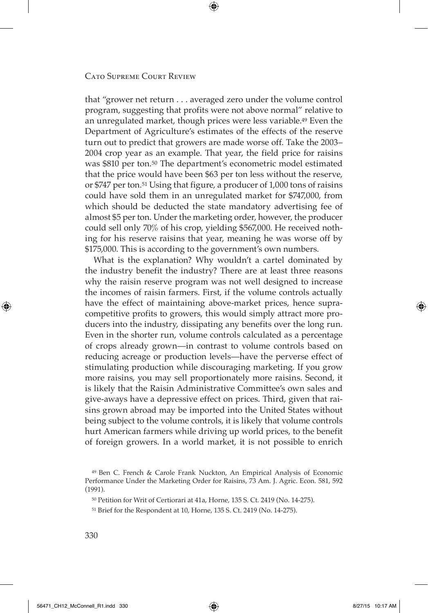that "grower net return . . . averaged zero under the volume control program, suggesting that profits were not above normal" relative to an unregulated market, though prices were less variable.49 Even the Department of Agriculture's estimates of the effects of the reserve turn out to predict that growers are made worse off. Take the 2003– 2004 crop year as an example. That year, the field price for raisins was \$810 per ton.50 The department's econometric model estimated that the price would have been \$63 per ton less without the reserve, or \$747 per ton.51 Using that figure, a producer of 1,000 tons of raisins could have sold them in an unregulated market for \$747,000, from which should be deducted the state mandatory advertising fee of almost \$5 per ton. Under the marketing order, however, the producer could sell only 70% of his crop, yielding \$567,000. He received nothing for his reserve raisins that year, meaning he was worse off by \$175,000. This is according to the government's own numbers.

What is the explanation? Why wouldn't a cartel dominated by the industry benefit the industry? There are at least three reasons why the raisin reserve program was not well designed to increase the incomes of raisin farmers. First, if the volume controls actually have the effect of maintaining above-market prices, hence supracompetitive profits to growers, this would simply attract more producers into the industry, dissipating any benefits over the long run. Even in the shorter run, volume controls calculated as a percentage of crops already grown—in contrast to volume controls based on reducing acreage or production levels—have the perverse effect of stimulating production while discouraging marketing. If you grow more raisins, you may sell proportionately more raisins. Second, it is likely that the Raisin Administrative Committee's own sales and give-aways have a depressive effect on prices. Third, given that raisins grown abroad may be imported into the United States without being subject to the volume controls, it is likely that volume controls hurt American farmers while driving up world prices, to the benefit of foreign growers. In a world market, it is not possible to enrich

<sup>49</sup> Ben C. French & Carole Frank Nuckton, An Empirical Analysis of Economic Performance Under the Marketing Order for Raisins, 73 Am. J. Agric. Econ. 581, 592 (1991).

<sup>50</sup> Petition for Writ of Certiorari at 41a, Horne, 135 S. Ct. 2419 (No. 14-275).

<sup>51</sup> Brief for the Respondent at 10, Horne, 135 S. Ct. 2419 (No. 14-275).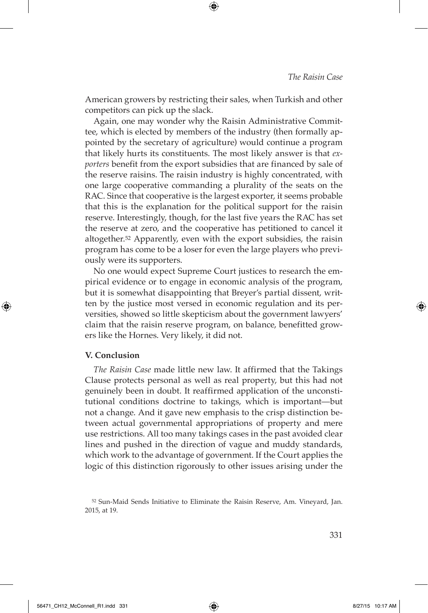American growers by restricting their sales, when Turkish and other competitors can pick up the slack.

Again, one may wonder why the Raisin Administrative Committee, which is elected by members of the industry (then formally appointed by the secretary of agriculture) would continue a program that likely hurts its constituents. The most likely answer is that *exporters* benefit from the export subsidies that are financed by sale of the reserve raisins. The raisin industry is highly concentrated, with one large cooperative commanding a plurality of the seats on the RAC. Since that cooperative is the largest exporter, it seems probable that this is the explanation for the political support for the raisin reserve. Interestingly, though, for the last five years the RAC has set the reserve at zero, and the cooperative has petitioned to cancel it altogether.52 Apparently, even with the export subsidies, the raisin program has come to be a loser for even the large players who previously were its supporters.

No one would expect Supreme Court justices to research the empirical evidence or to engage in economic analysis of the program, but it is somewhat disappointing that Breyer's partial dissent, written by the justice most versed in economic regulation and its perversities, showed so little skepticism about the government lawyers' claim that the raisin reserve program, on balance, benefitted growers like the Hornes. Very likely, it did not.

# **V. Conclusion**

*The Raisin Case* made little new law. It affirmed that the Takings Clause protects personal as well as real property, but this had not genuinely been in doubt. It reaffirmed application of the unconstitutional conditions doctrine to takings, which is important—but not a change. And it gave new emphasis to the crisp distinction between actual governmental appropriations of property and mere use restrictions. All too many takings cases in the past avoided clear lines and pushed in the direction of vague and muddy standards, which work to the advantage of government. If the Court applies the logic of this distinction rigorously to other issues arising under the

<sup>52</sup> Sun-Maid Sends Initiative to Eliminate the Raisin Reserve, Am. Vineyard, Jan. 2015, at 19.